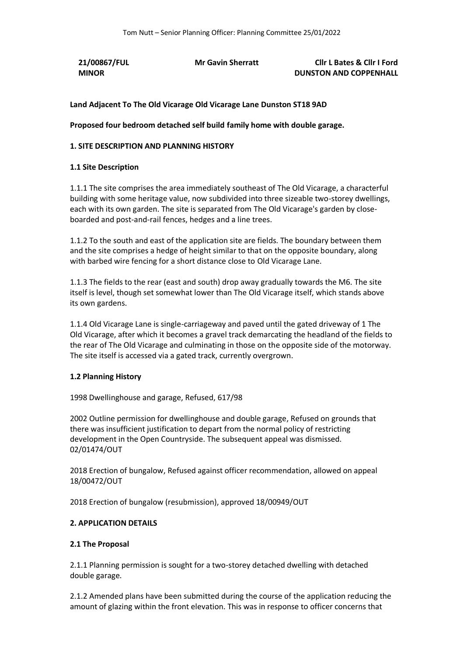**21/00867/FUL MINOR**

**Mr Gavin Sherratt Cllr L Bates & Cllr I Ford DUNSTON AND COPPENHALL**

# **Land Adjacent To The Old Vicarage Old Vicarage Lane Dunston ST18 9AD**

**Proposed four bedroom detached self build family home with double garage.**

### **1. SITE DESCRIPTION AND PLANNING HISTORY**

#### **1.1 Site Description**

1.1.1 The site comprises the area immediately southeast of The Old Vicarage, a characterful building with some heritage value, now subdivided into three sizeable two-storey dwellings, each with its own garden. The site is separated from The Old Vicarage's garden by closeboarded and post-and-rail fences, hedges and a line trees.

1.1.2 To the south and east of the application site are fields. The boundary between them and the site comprises a hedge of height similar to that on the opposite boundary, along with barbed wire fencing for a short distance close to Old Vicarage Lane.

1.1.3 The fields to the rear (east and south) drop away gradually towards the M6. The site itself is level, though set somewhat lower than The Old Vicarage itself, which stands above its own gardens.

1.1.4 Old Vicarage Lane is single-carriageway and paved until the gated driveway of 1 The Old Vicarage, after which it becomes a gravel track demarcating the headland of the fields to the rear of The Old Vicarage and culminating in those on the opposite side of the motorway. The site itself is accessed via a gated track, currently overgrown.

### **1.2 Planning History**

1998 Dwellinghouse and garage, Refused, 617/98

2002 Outline permission for dwellinghouse and double garage, Refused on grounds that there was insufficient justification to depart from the normal policy of restricting development in the Open Countryside. The subsequent appeal was dismissed. 02/01474/OUT

2018 Erection of bungalow, Refused against officer recommendation, allowed on appeal 18/00472/OUT

2018 Erection of bungalow (resubmission), approved 18/00949/OUT

### **2. APPLICATION DETAILS**

#### **2.1 The Proposal**

2.1.1 Planning permission is sought for a two-storey detached dwelling with detached double garage.

2.1.2 Amended plans have been submitted during the course of the application reducing the amount of glazing within the front elevation. This was in response to officer concerns that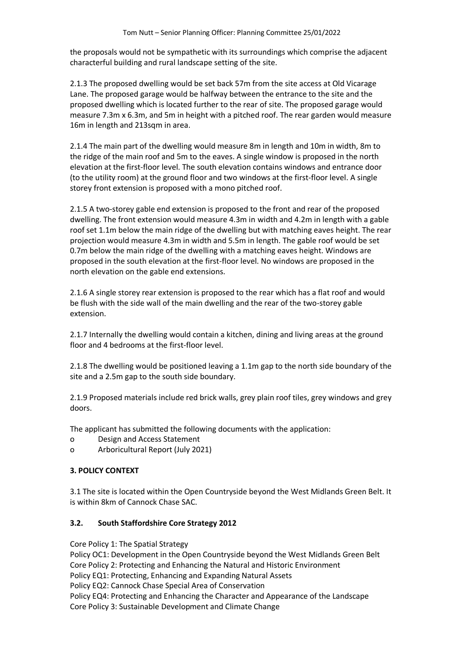the proposals would not be sympathetic with its surroundings which comprise the adjacent characterful building and rural landscape setting of the site.

2.1.3 The proposed dwelling would be set back 57m from the site access at Old Vicarage Lane. The proposed garage would be halfway between the entrance to the site and the proposed dwelling which is located further to the rear of site. The proposed garage would measure 7.3m x 6.3m, and 5m in height with a pitched roof. The rear garden would measure 16m in length and 213sqm in area.

2.1.4 The main part of the dwelling would measure 8m in length and 10m in width, 8m to the ridge of the main roof and 5m to the eaves. A single window is proposed in the north elevation at the first-floor level. The south elevation contains windows and entrance door (to the utility room) at the ground floor and two windows at the first-floor level. A single storey front extension is proposed with a mono pitched roof.

2.1.5 A two-storey gable end extension is proposed to the front and rear of the proposed dwelling. The front extension would measure 4.3m in width and 4.2m in length with a gable roof set 1.1m below the main ridge of the dwelling but with matching eaves height. The rear projection would measure 4.3m in width and 5.5m in length. The gable roof would be set 0.7m below the main ridge of the dwelling with a matching eaves height. Windows are proposed in the south elevation at the first-floor level. No windows are proposed in the north elevation on the gable end extensions.

2.1.6 A single storey rear extension is proposed to the rear which has a flat roof and would be flush with the side wall of the main dwelling and the rear of the two-storey gable extension.

2.1.7 Internally the dwelling would contain a kitchen, dining and living areas at the ground floor and 4 bedrooms at the first-floor level.

2.1.8 The dwelling would be positioned leaving a 1.1m gap to the north side boundary of the site and a 2.5m gap to the south side boundary.

2.1.9 Proposed materials include red brick walls, grey plain roof tiles, grey windows and grey doors.

The applicant has submitted the following documents with the application:

- o Design and Access Statement
- o Arboricultural Report (July 2021)

# **3. POLICY CONTEXT**

3.1 The site is located within the Open Countryside beyond the West Midlands Green Belt. It is within 8km of Cannock Chase SAC.

### **3.2. South Staffordshire Core Strategy 2012**

Core Policy 1: The Spatial Strategy

Policy OC1: Development in the Open Countryside beyond the West Midlands Green Belt Core Policy 2: Protecting and Enhancing the Natural and Historic Environment Policy EQ1: Protecting, Enhancing and Expanding Natural Assets Policy EQ2: Cannock Chase Special Area of Conservation Policy EQ4: Protecting and Enhancing the Character and Appearance of the Landscape Core Policy 3: Sustainable Development and Climate Change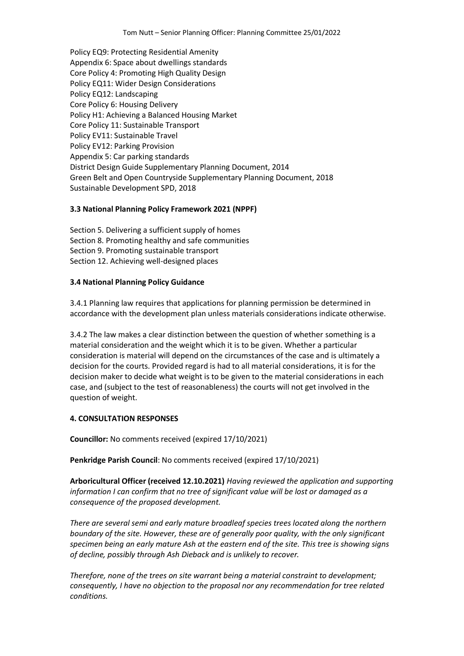Policy EQ9: Protecting Residential Amenity Appendix 6: Space about dwellings standards Core Policy 4: Promoting High Quality Design Policy EQ11: Wider Design Considerations Policy EQ12: Landscaping Core Policy 6: Housing Delivery Policy H1: Achieving a Balanced Housing Market Core Policy 11: Sustainable Transport Policy EV11: Sustainable Travel Policy EV12: Parking Provision Appendix 5: Car parking standards District Design Guide Supplementary Planning Document, 2014 Green Belt and Open Countryside Supplementary Planning Document, 2018 Sustainable Development SPD, 2018

### **3.3 National Planning Policy Framework 2021 (NPPF)**

Section 5. Delivering a sufficient supply of homes Section 8. Promoting healthy and safe communities Section 9. Promoting sustainable transport Section 12. Achieving well-designed places

### **3.4 National Planning Policy Guidance**

3.4.1 Planning law requires that applications for planning permission be determined in accordance with the development plan unless materials considerations indicate otherwise.

3.4.2 The law makes a clear distinction between the question of whether something is a material consideration and the weight which it is to be given. Whether a particular consideration is material will depend on the circumstances of the case and is ultimately a decision for the courts. Provided regard is had to all material considerations, it is for the decision maker to decide what weight is to be given to the material considerations in each case, and (subject to the test of reasonableness) the courts will not get involved in the question of weight.

# **4. CONSULTATION RESPONSES**

**Councillor:** No comments received (expired 17/10/2021)

**Penkridge Parish Council**: No comments received (expired 17/10/2021)

**Arboricultural Officer (received 12.10.2021)** *Having reviewed the application and supporting information I can confirm that no tree of significant value will be lost or damaged as a consequence of the proposed development.*

*There are several semi and early mature broadleaf species trees located along the northern boundary of the site. However, these are of generally poor quality, with the only significant specimen being an early mature Ash at the eastern end of the site. This tree is showing signs of decline, possibly through Ash Dieback and is unlikely to recover.* 

*Therefore, none of the trees on site warrant being a material constraint to development; consequently, I have no objection to the proposal nor any recommendation for tree related conditions.*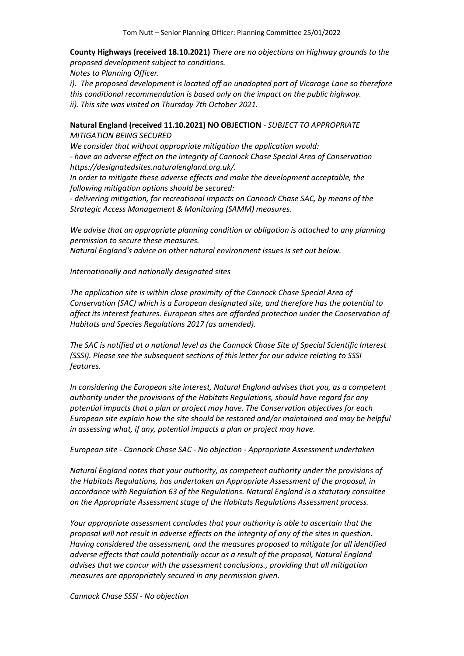**County Highways (received 18.10.2021)** *There are no objections on Highway grounds to the proposed development subject to conditions.*

*Notes to Planning Officer.*

*i*). The proposed development is located off an unadopted part of Vicarage Lane so therefore *this conditional recommendation is based only on the impact on the public highway. ii). This site was visited on Thursday 7th October 2021.*

**Natural England (received 11.10.2021) NO OBJECTION** - *SUBJECT TO APPROPRIATE MITIGATION BEING SECURED*

*We consider that without appropriate mitigation the application would: - have an adverse effect on the integrity of Cannock Chase Special Area of Conservation https://designatedsites.naturalengland.org.uk/.*

*In order to mitigate these adverse effects and make the development acceptable, the following mitigation options should be secured:*

*- delivering mitigation, for recreational impacts on Cannock Chase SAC, by means of the Strategic Access Management & Monitoring (SAMM) measures.*

*We advise that an appropriate planning condition or obligation is attached to any planning permission to secure these measures.*

*Natural England's advice on other natural environment issues is set out below.*

*Internationally and nationally designated sites*

*The application site is within close proximity of the Cannock Chase Special Area of Conservation (SAC) which is a European designated site, and therefore has the potential to affect its interest features. European sites are afforded protection under the Conservation of Habitats and Species Regulations 2017 (as amended).*

*The SAC is notified at a national level as the Cannock Chase Site of Special Scientific Interest (SSSI). Please see the subsequent sections of this letter for our advice relating to SSSI features.*

*In considering the European site interest, Natural England advises that you, as a competent authority under the provisions of the Habitats Regulations, should have regard for any potential impacts that a plan or project may have. The Conservation objectives for each European site explain how the site should be restored and/or maintained and may be helpful in assessing what, if any, potential impacts a plan or project may have.*

*European site - Cannock Chase SAC - No objection - Appropriate Assessment undertaken*

*Natural England notes that your authority, as competent authority under the provisions of the Habitats Regulations, has undertaken an Appropriate Assessment of the proposal, in accordance with Regulation 63 of the Regulations. Natural England is a statutory consultee on the Appropriate Assessment stage of the Habitats Regulations Assessment process.*

*Your appropriate assessment concludes that your authority is able to ascertain that the proposal will not result in adverse effects on the integrity of any of the sites in question. Having considered the assessment, and the measures proposed to mitigate for all identified adverse effects that could potentially occur as a result of the proposal, Natural England advises that we concur with the assessment conclusions., providing that all mitigation measures are appropriately secured in any permission given.*

*Cannock Chase SSSI - No objection*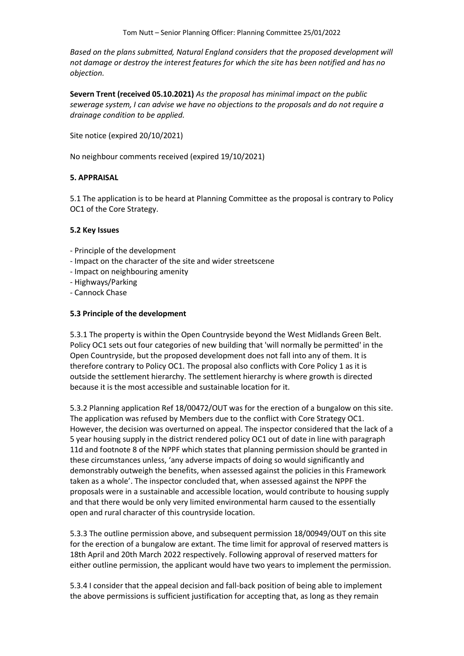*Based on the plans submitted, Natural England considers that the proposed development will not damage or destroy the interest features for which the site has been notified and has no objection.*

**Severn Trent (received 05.10.2021)** *As the proposal has minimal impact on the public sewerage system, I can advise we have no objections to the proposals and do not require a drainage condition to be applied.*

Site notice (expired 20/10/2021)

No neighbour comments received (expired 19/10/2021)

### **5. APPRAISAL**

5.1 The application is to be heard at Planning Committee as the proposal is contrary to Policy OC1 of the Core Strategy.

### **5.2 Key Issues**

- Principle of the development
- Impact on the character of the site and wider streetscene
- Impact on neighbouring amenity
- Highways/Parking
- Cannock Chase

### **5.3 Principle of the development**

5.3.1 The property is within the Open Countryside beyond the West Midlands Green Belt. Policy OC1 sets out four categories of new building that 'will normally be permitted' in the Open Countryside, but the proposed development does not fall into any of them. It is therefore contrary to Policy OC1. The proposal also conflicts with Core Policy 1 as it is outside the settlement hierarchy. The settlement hierarchy is where growth is directed because it is the most accessible and sustainable location for it.

5.3.2 Planning application Ref 18/00472/OUT was for the erection of a bungalow on this site. The application was refused by Members due to the conflict with Core Strategy OC1. However, the decision was overturned on appeal. The inspector considered that the lack of a 5 year housing supply in the district rendered policy OC1 out of date in line with paragraph 11d and footnote 8 of the NPPF which states that planning permission should be granted in these circumstances unless, 'any adverse impacts of doing so would significantly and demonstrably outweigh the benefits, when assessed against the policies in this Framework taken as a whole'. The inspector concluded that, when assessed against the NPPF the proposals were in a sustainable and accessible location, would contribute to housing supply and that there would be only very limited environmental harm caused to the essentially open and rural character of this countryside location.

5.3.3 The outline permission above, and subsequent permission 18/00949/OUT on this site for the erection of a bungalow are extant. The time limit for approval of reserved matters is 18th April and 20th March 2022 respectively. Following approval of reserved matters for either outline permission, the applicant would have two years to implement the permission.

5.3.4 I consider that the appeal decision and fall-back position of being able to implement the above permissions is sufficient justification for accepting that, as long as they remain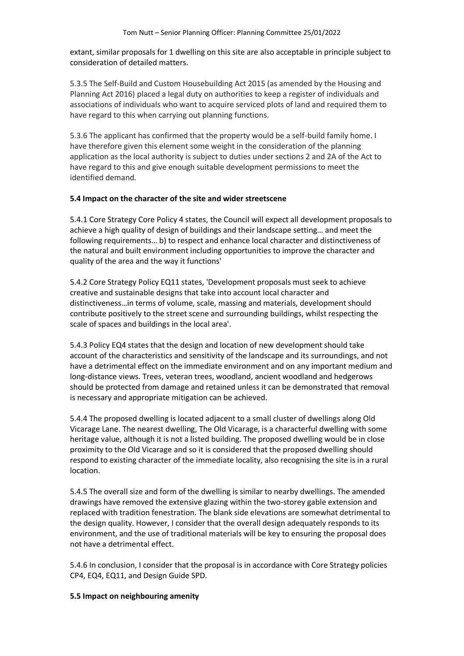extant, similar proposals for 1 dwelling on this site are also acceptable in principle subject to consideration of detailed matters.

5.3.5 The Self-Build and Custom Housebuilding Act 2015 (as amended by the Housing and Planning Act 2016) placed a legal duty on authorities to keep a register of individuals and associations of individuals who want to acquire serviced plots of land and required them to have regard to this when carrying out planning functions.

5.3.6 The applicant has confirmed that the property would be a self-build family home. I have therefore given this element some weight in the consideration of the planning application as the local authority is subject to duties under sections 2 and 2A of the Act to have regard to this and give enough suitable development permissions to meet the identified demand.

### **5.4 Impact on the character of the site and wider streetscene**

5.4.1 Core Strategy Core Policy 4 states, the Council will expect all development proposals to achieve a high quality of design of buildings and their landscape setting… and meet the following requirements… b) to respect and enhance local character and distinctiveness of the natural and built environment including opportunities to improve the character and quality of the area and the way it functions'

5.4.2 Core Strategy Policy EQ11 states, 'Development proposals must seek to achieve creative and sustainable designs that take into account local character and distinctiveness…in terms of volume, scale, massing and materials, development should contribute positively to the street scene and surrounding buildings, whilst respecting the scale of spaces and buildings in the local area'.

5.4.3 Policy EQ4 states that the design and location of new development should take account of the characteristics and sensitivity of the landscape and its surroundings, and not have a detrimental effect on the immediate environment and on any important medium and long-distance views. Trees, veteran trees, woodland, ancient woodland and hedgerows should be protected from damage and retained unless it can be demonstrated that removal is necessary and appropriate mitigation can be achieved.

5.4.4 The proposed dwelling is located adjacent to a small cluster of dwellings along Old Vicarage Lane. The nearest dwelling, The Old Vicarage, is a characterful dwelling with some heritage value, although it is not a listed building. The proposed dwelling would be in close proximity to the Old Vicarage and so it is considered that the proposed dwelling should respond to existing character of the immediate locality, also recognising the site is in a rural location.

5.4.5 The overall size and form of the dwelling is similar to nearby dwellings. The amended drawings have removed the extensive glazing within the two-storey gable extension and replaced with tradition fenestration. The blank side elevations are somewhat detrimental to the design quality. However, I consider that the overall design adequately responds to its environment, and the use of traditional materials will be key to ensuring the proposal does not have a detrimental effect.

5.4.6 In conclusion, I consider that the proposal is in accordance with Core Strategy policies CP4, EQ4, EQ11, and Design Guide SPD.

### **5.5 Impact on neighbouring amenity**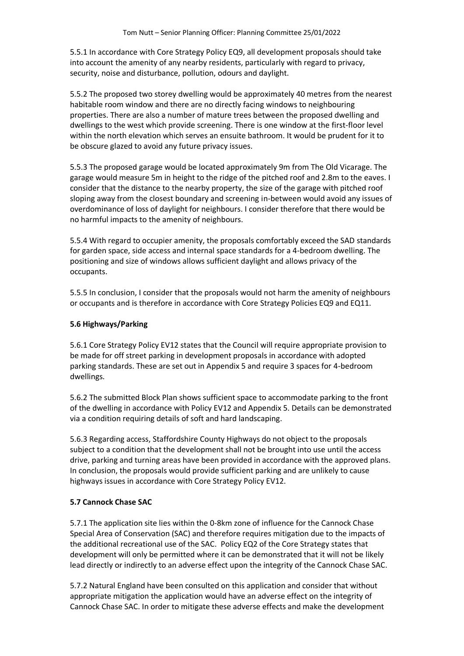5.5.1 In accordance with Core Strategy Policy EQ9, all development proposals should take into account the amenity of any nearby residents, particularly with regard to privacy, security, noise and disturbance, pollution, odours and daylight.

5.5.2 The proposed two storey dwelling would be approximately 40 metres from the nearest habitable room window and there are no directly facing windows to neighbouring properties. There are also a number of mature trees between the proposed dwelling and dwellings to the west which provide screening. There is one window at the first-floor level within the north elevation which serves an ensuite bathroom. It would be prudent for it to be obscure glazed to avoid any future privacy issues.

5.5.3 The proposed garage would be located approximately 9m from The Old Vicarage. The garage would measure 5m in height to the ridge of the pitched roof and 2.8m to the eaves. I consider that the distance to the nearby property, the size of the garage with pitched roof sloping away from the closest boundary and screening in-between would avoid any issues of overdominance of loss of daylight for neighbours. I consider therefore that there would be no harmful impacts to the amenity of neighbours.

5.5.4 With regard to occupier amenity, the proposals comfortably exceed the SAD standards for garden space, side access and internal space standards for a 4-bedroom dwelling. The positioning and size of windows allows sufficient daylight and allows privacy of the occupants.

5.5.5 In conclusion, I consider that the proposals would not harm the amenity of neighbours or occupants and is therefore in accordance with Core Strategy Policies EQ9 and EQ11.

# **5.6 Highways/Parking**

5.6.1 Core Strategy Policy EV12 states that the Council will require appropriate provision to be made for off street parking in development proposals in accordance with adopted parking standards. These are set out in Appendix 5 and require 3 spaces for 4-bedroom dwellings.

5.6.2 The submitted Block Plan shows sufficient space to accommodate parking to the front of the dwelling in accordance with Policy EV12 and Appendix 5. Details can be demonstrated via a condition requiring details of soft and hard landscaping.

5.6.3 Regarding access, Staffordshire County Highways do not object to the proposals subject to a condition that the development shall not be brought into use until the access drive, parking and turning areas have been provided in accordance with the approved plans. In conclusion, the proposals would provide sufficient parking and are unlikely to cause highways issues in accordance with Core Strategy Policy EV12.

# **5.7 Cannock Chase SAC**

5.7.1 The application site lies within the 0-8km zone of influence for the Cannock Chase Special Area of Conservation (SAC) and therefore requires mitigation due to the impacts of the additional recreational use of the SAC. Policy EQ2 of the Core Strategy states that development will only be permitted where it can be demonstrated that it will not be likely lead directly or indirectly to an adverse effect upon the integrity of the Cannock Chase SAC.

5.7.2 Natural England have been consulted on this application and consider that without appropriate mitigation the application would have an adverse effect on the integrity of Cannock Chase SAC. In order to mitigate these adverse effects and make the development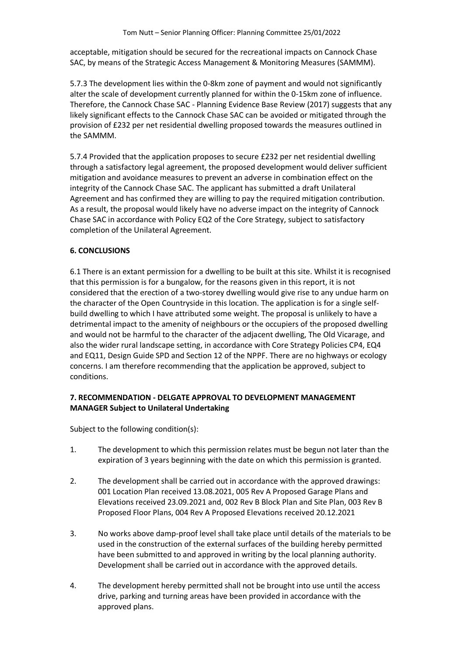acceptable, mitigation should be secured for the recreational impacts on Cannock Chase SAC, by means of the Strategic Access Management & Monitoring Measures (SAMMM).

5.7.3 The development lies within the 0-8km zone of payment and would not significantly alter the scale of development currently planned for within the 0-15km zone of influence. Therefore, the Cannock Chase SAC - Planning Evidence Base Review (2017) suggests that any likely significant effects to the Cannock Chase SAC can be avoided or mitigated through the provision of £232 per net residential dwelling proposed towards the measures outlined in the SAMMM.

5.7.4 Provided that the application proposes to secure £232 per net residential dwelling through a satisfactory legal agreement, the proposed development would deliver sufficient mitigation and avoidance measures to prevent an adverse in combination effect on the integrity of the Cannock Chase SAC. The applicant has submitted a draft Unilateral Agreement and has confirmed they are willing to pay the required mitigation contribution. As a result, the proposal would likely have no adverse impact on the integrity of Cannock Chase SAC in accordance with Policy EQ2 of the Core Strategy, subject to satisfactory completion of the Unilateral Agreement.

# **6. CONCLUSIONS**

6.1 There is an extant permission for a dwelling to be built at this site. Whilst it is recognised that this permission is for a bungalow, for the reasons given in this report, it is not considered that the erection of a two-storey dwelling would give rise to any undue harm on the character of the Open Countryside in this location. The application is for a single selfbuild dwelling to which I have attributed some weight. The proposal is unlikely to have a detrimental impact to the amenity of neighbours or the occupiers of the proposed dwelling and would not be harmful to the character of the adjacent dwelling, The Old Vicarage, and also the wider rural landscape setting, in accordance with Core Strategy Policies CP4, EQ4 and EQ11, Design Guide SPD and Section 12 of the NPPF. There are no highways or ecology concerns. I am therefore recommending that the application be approved, subject to conditions.

# **7. RECOMMENDATION - DELGATE APPROVAL TO DEVELOPMENT MANAGEMENT MANAGER Subject to Unilateral Undertaking**

Subject to the following condition(s):

- 1. The development to which this permission relates must be begun not later than the expiration of 3 years beginning with the date on which this permission is granted.
- 2. The development shall be carried out in accordance with the approved drawings: 001 Location Plan received 13.08.2021, 005 Rev A Proposed Garage Plans and Elevations received 23.09.2021 and, 002 Rev B Block Plan and Site Plan, 003 Rev B Proposed Floor Plans, 004 Rev A Proposed Elevations received 20.12.2021
- 3. No works above damp-proof level shall take place until details of the materials to be used in the construction of the external surfaces of the building hereby permitted have been submitted to and approved in writing by the local planning authority. Development shall be carried out in accordance with the approved details.
- 4. The development hereby permitted shall not be brought into use until the access drive, parking and turning areas have been provided in accordance with the approved plans.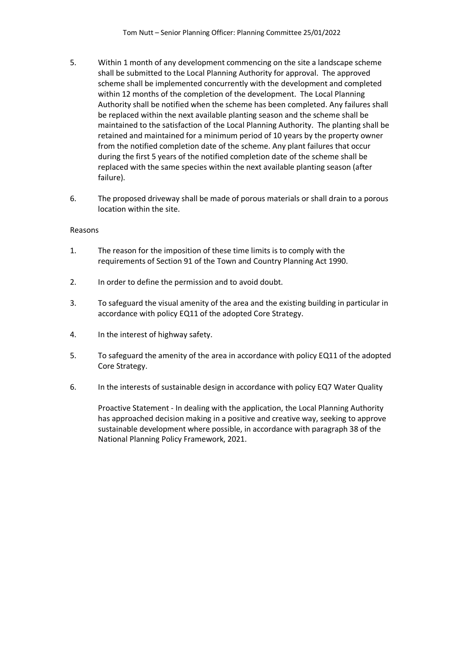- 5. Within 1 month of any development commencing on the site a landscape scheme shall be submitted to the Local Planning Authority for approval. The approved scheme shall be implemented concurrently with the development and completed within 12 months of the completion of the development. The Local Planning Authority shall be notified when the scheme has been completed. Any failures shall be replaced within the next available planting season and the scheme shall be maintained to the satisfaction of the Local Planning Authority. The planting shall be retained and maintained for a minimum period of 10 years by the property owner from the notified completion date of the scheme. Any plant failures that occur during the first 5 years of the notified completion date of the scheme shall be replaced with the same species within the next available planting season (after failure).
- 6. The proposed driveway shall be made of porous materials or shall drain to a porous location within the site.

### Reasons

- 1. The reason for the imposition of these time limits is to comply with the requirements of Section 91 of the Town and Country Planning Act 1990.
- 2. In order to define the permission and to avoid doubt.
- 3. To safeguard the visual amenity of the area and the existing building in particular in accordance with policy EQ11 of the adopted Core Strategy.
- 4. In the interest of highway safety.
- 5. To safeguard the amenity of the area in accordance with policy EQ11 of the adopted Core Strategy.
- 6. In the interests of sustainable design in accordance with policy EQ7 Water Quality

Proactive Statement - In dealing with the application, the Local Planning Authority has approached decision making in a positive and creative way, seeking to approve sustainable development where possible, in accordance with paragraph 38 of the National Planning Policy Framework, 2021.